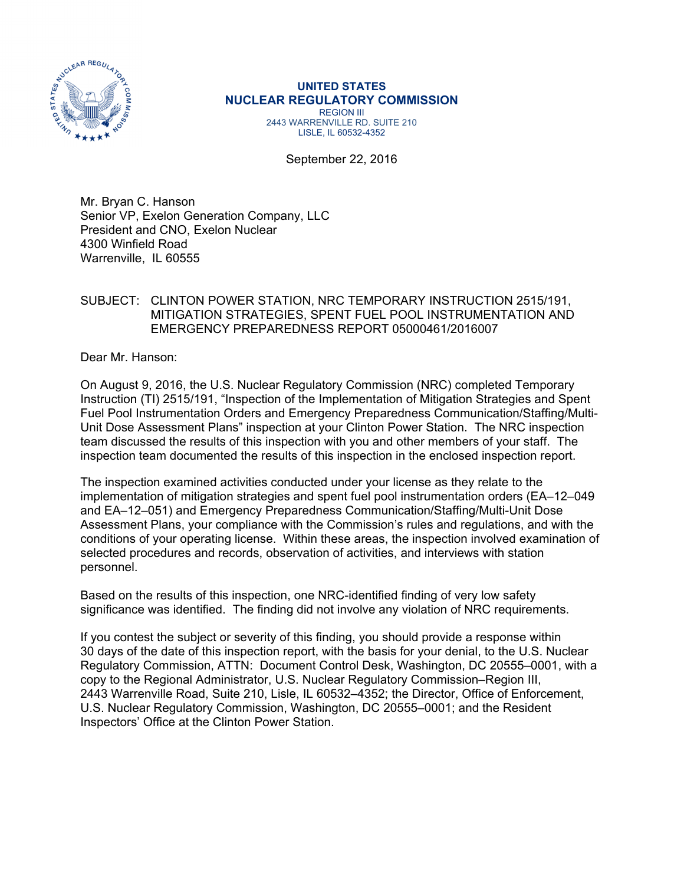

#### **UNITED STATES NUCLEAR REGULATORY COMMISSION**  REGION III 2443 WARRENVILLE RD. SUITE 210 LISLE, IL 60532-4352

September 22, 2016

Mr. Bryan C. Hanson Senior VP, Exelon Generation Company, LLC President and CNO, Exelon Nuclear 4300 Winfield Road Warrenville, IL 60555

### SUBJECT: CLINTON POWER STATION, NRC TEMPORARY INSTRUCTION 2515/191, MITIGATION STRATEGIES, SPENT FUEL POOL INSTRUMENTATION AND EMERGENCY PREPAREDNESS REPORT 05000461/2016007

Dear Mr. Hanson:

On August 9, 2016, the U.S. Nuclear Regulatory Commission (NRC) completed Temporary Instruction (TI) 2515/191, "Inspection of the Implementation of Mitigation Strategies and Spent Fuel Pool Instrumentation Orders and Emergency Preparedness Communication/Staffing/Multi-Unit Dose Assessment Plans" inspection at your Clinton Power Station. The NRC inspection team discussed the results of this inspection with you and other members of your staff. The inspection team documented the results of this inspection in the enclosed inspection report.

The inspection examined activities conducted under your license as they relate to the implementation of mitigation strategies and spent fuel pool instrumentation orders (EA–12–049 and EA–12–051) and Emergency Preparedness Communication/Staffing/Multi-Unit Dose Assessment Plans, your compliance with the Commission's rules and regulations, and with the conditions of your operating license. Within these areas, the inspection involved examination of selected procedures and records, observation of activities, and interviews with station personnel.

Based on the results of this inspection, one NRC-identified finding of very low safety significance was identified. The finding did not involve any violation of NRC requirements.

If you contest the subject or severity of this finding, you should provide a response within 30 days of the date of this inspection report, with the basis for your denial, to the U.S. Nuclear Regulatory Commission, ATTN: Document Control Desk, Washington, DC 20555–0001, with a copy to the Regional Administrator, U.S. Nuclear Regulatory Commission–Region III, 2443 Warrenville Road, Suite 210, Lisle, IL 60532–4352; the Director, Office of Enforcement, U.S. Nuclear Regulatory Commission, Washington, DC 20555–0001; and the Resident Inspectors' Office at the Clinton Power Station.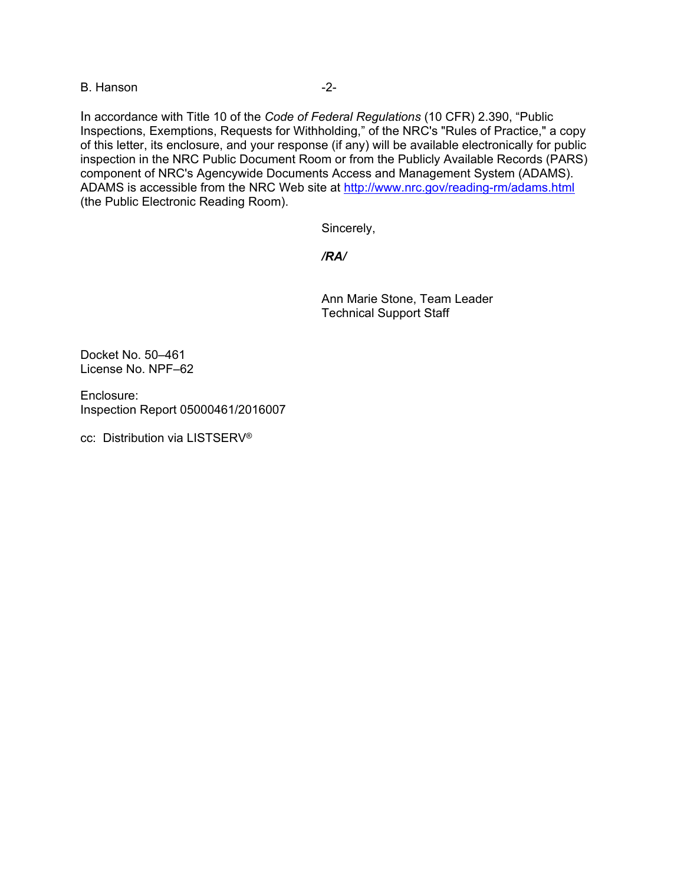B. Hanson **B.** Hanson

In accordance with Title 10 of the *Code of Federal Regulations* (10 CFR) 2.390, "Public Inspections, Exemptions, Requests for Withholding," of the NRC's "Rules of Practice," a copy of this letter, its enclosure, and your response (if any) will be available electronically for public inspection in the NRC Public Document Room or from the Publicly Available Records (PARS) component of NRC's Agencywide Documents Access and Management System (ADAMS). ADAMS is accessible from the NRC Web site at http://www.nrc.gov/reading-rm/adams.html (the Public Electronic Reading Room).

Sincerely,

### */RA/*

Ann Marie Stone, Team Leader Technical Support Staff

Docket No. 50–461 License No. NPF–62

Enclosure: Inspection Report 05000461/2016007

cc: Distribution via LISTSERV®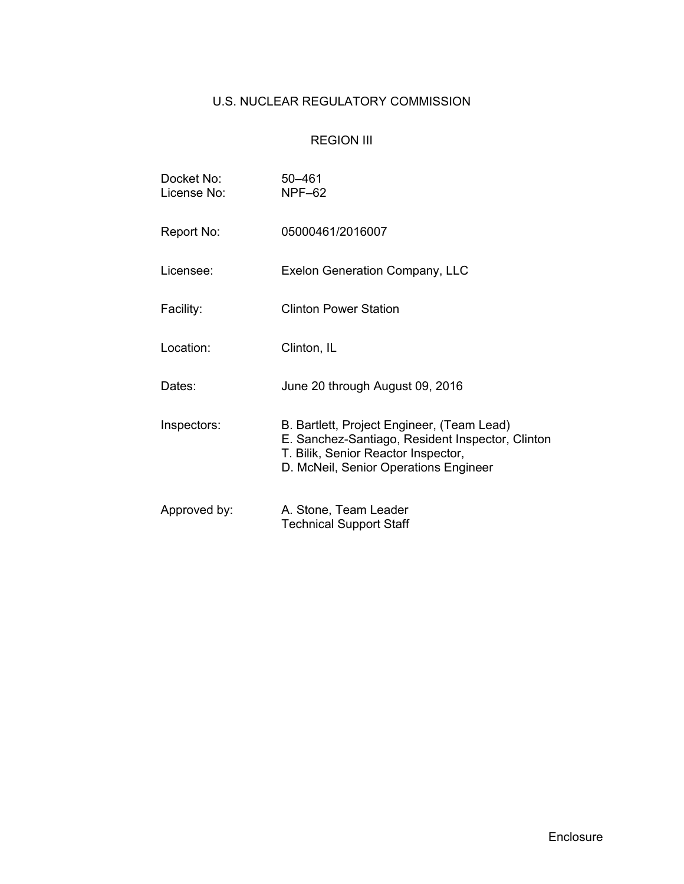# U.S. NUCLEAR REGULATORY COMMISSION

## REGION III

| Docket No:<br>License No: | $50 - 461$<br><b>NPF-62</b>                                                                                                                                                    |  |  |  |
|---------------------------|--------------------------------------------------------------------------------------------------------------------------------------------------------------------------------|--|--|--|
| Report No:                | 05000461/2016007                                                                                                                                                               |  |  |  |
| Licensee:                 | Exelon Generation Company, LLC                                                                                                                                                 |  |  |  |
| Facility:                 | <b>Clinton Power Station</b>                                                                                                                                                   |  |  |  |
| Location:                 | Clinton, IL                                                                                                                                                                    |  |  |  |
| Dates:                    | June 20 through August 09, 2016                                                                                                                                                |  |  |  |
| Inspectors:               | B. Bartlett, Project Engineer, (Team Lead)<br>E. Sanchez-Santiago, Resident Inspector, Clinton<br>T. Bilik, Senior Reactor Inspector,<br>D. McNeil, Senior Operations Engineer |  |  |  |
| Approved by:              | A. Stone, Team Leader<br><b>Technical Support Staff</b>                                                                                                                        |  |  |  |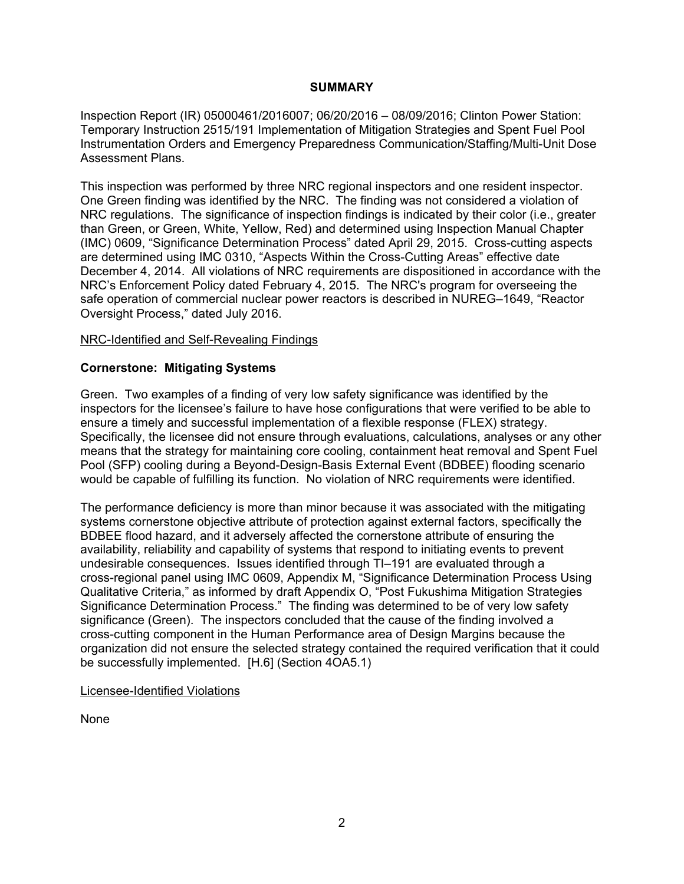#### **SUMMARY**

Inspection Report (IR) 05000461/2016007; 06/20/2016 – 08/09/2016; Clinton Power Station: Temporary Instruction 2515/191 Implementation of Mitigation Strategies and Spent Fuel Pool Instrumentation Orders and Emergency Preparedness Communication/Staffing/Multi-Unit Dose Assessment Plans.

This inspection was performed by three NRC regional inspectors and one resident inspector. One Green finding was identified by the NRC. The finding was not considered a violation of NRC regulations. The significance of inspection findings is indicated by their color (i.e., greater than Green, or Green, White, Yellow, Red) and determined using Inspection Manual Chapter (IMC) 0609, "Significance Determination Process" dated April 29, 2015. Cross-cutting aspects are determined using IMC 0310, "Aspects Within the Cross-Cutting Areas" effective date December 4, 2014. All violations of NRC requirements are dispositioned in accordance with the NRC's Enforcement Policy dated February 4, 2015. The NRC's program for overseeing the safe operation of commercial nuclear power reactors is described in NUREG–1649, "Reactor Oversight Process," dated July 2016.

#### NRC-Identified and Self-Revealing Findings

### **Cornerstone: Mitigating Systems**

Green. Two examples of a finding of very low safety significance was identified by the inspectors for the licensee's failure to have hose configurations that were verified to be able to ensure a timely and successful implementation of a flexible response (FLEX) strategy. Specifically, the licensee did not ensure through evaluations, calculations, analyses or any other means that the strategy for maintaining core cooling, containment heat removal and Spent Fuel Pool (SFP) cooling during a Beyond-Design-Basis External Event (BDBEE) flooding scenario would be capable of fulfilling its function. No violation of NRC requirements were identified.

The performance deficiency is more than minor because it was associated with the mitigating systems cornerstone objective attribute of protection against external factors, specifically the BDBEE flood hazard, and it adversely affected the cornerstone attribute of ensuring the availability, reliability and capability of systems that respond to initiating events to prevent undesirable consequences. Issues identified through TI-191 are evaluated through a cross-regional panel using IMC 0609, Appendix M, "Significance Determination Process Using Qualitative Criteria," as informed by draft Appendix O, "Post Fukushima Mitigation Strategies Significance Determination Process." The finding was determined to be of very low safety significance (Green). The inspectors concluded that the cause of the finding involved a cross-cutting component in the Human Performance area of Design Margins because the organization did not ensure the selected strategy contained the required verification that it could be successfully implemented. [H.6] (Section 4OA5.1)

#### Licensee-Identified Violations

None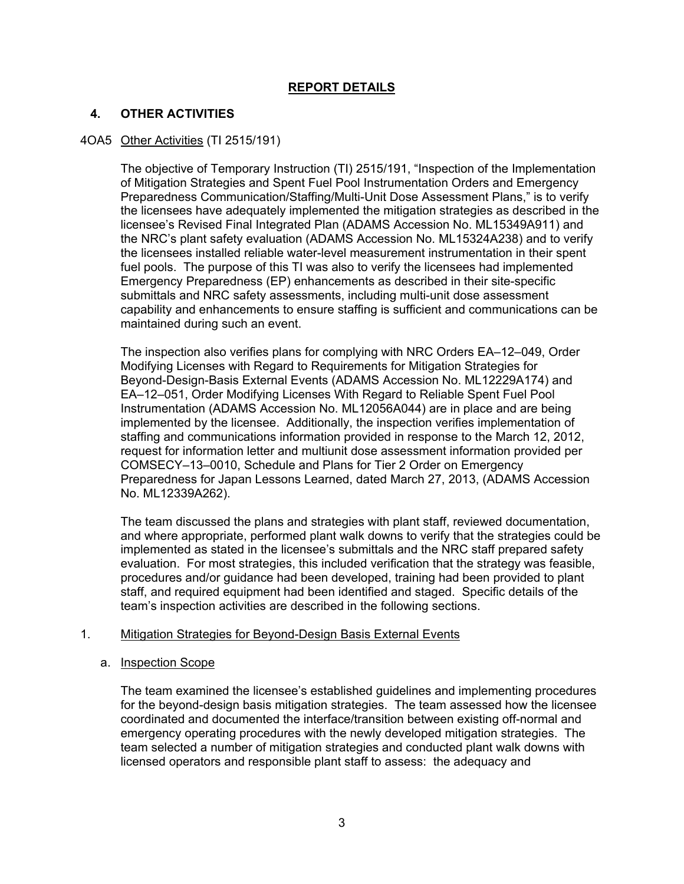## **REPORT DETAILS**

### **4. OTHER ACTIVITIES**

### 4OA5 Other Activities (TI 2515/191)

The objective of Temporary Instruction (TI) 2515/191, "Inspection of the Implementation of Mitigation Strategies and Spent Fuel Pool Instrumentation Orders and Emergency Preparedness Communication/Staffing/Multi-Unit Dose Assessment Plans," is to verify the licensees have adequately implemented the mitigation strategies as described in the licensee's Revised Final Integrated Plan (ADAMS Accession No. ML15349A911) and the NRC's plant safety evaluation (ADAMS Accession No. ML15324A238) and to verify the licensees installed reliable water-level measurement instrumentation in their spent fuel pools. The purpose of this TI was also to verify the licensees had implemented Emergency Preparedness (EP) enhancements as described in their site-specific submittals and NRC safety assessments, including multi-unit dose assessment capability and enhancements to ensure staffing is sufficient and communications can be maintained during such an event.

The inspection also verifies plans for complying with NRC Orders EA–12–049, Order Modifying Licenses with Regard to Requirements for Mitigation Strategies for Beyond-Design-Basis External Events (ADAMS Accession No. ML12229A174) and EA–12–051, Order Modifying Licenses With Regard to Reliable Spent Fuel Pool Instrumentation (ADAMS Accession No. ML12056A044) are in place and are being implemented by the licensee. Additionally, the inspection verifies implementation of staffing and communications information provided in response to the March 12, 2012, request for information letter and multiunit dose assessment information provided per COMSECY–13–0010, Schedule and Plans for Tier 2 Order on Emergency Preparedness for Japan Lessons Learned, dated March 27, 2013, (ADAMS Accession No. ML12339A262).

The team discussed the plans and strategies with plant staff, reviewed documentation, and where appropriate, performed plant walk downs to verify that the strategies could be implemented as stated in the licensee's submittals and the NRC staff prepared safety evaluation. For most strategies, this included verification that the strategy was feasible, procedures and/or guidance had been developed, training had been provided to plant staff, and required equipment had been identified and staged. Specific details of the team's inspection activities are described in the following sections.

#### 1. Mitigation Strategies for Beyond-Design Basis External Events

#### a. Inspection Scope

The team examined the licensee's established guidelines and implementing procedures for the beyond-design basis mitigation strategies. The team assessed how the licensee coordinated and documented the interface/transition between existing off-normal and emergency operating procedures with the newly developed mitigation strategies. The team selected a number of mitigation strategies and conducted plant walk downs with licensed operators and responsible plant staff to assess: the adequacy and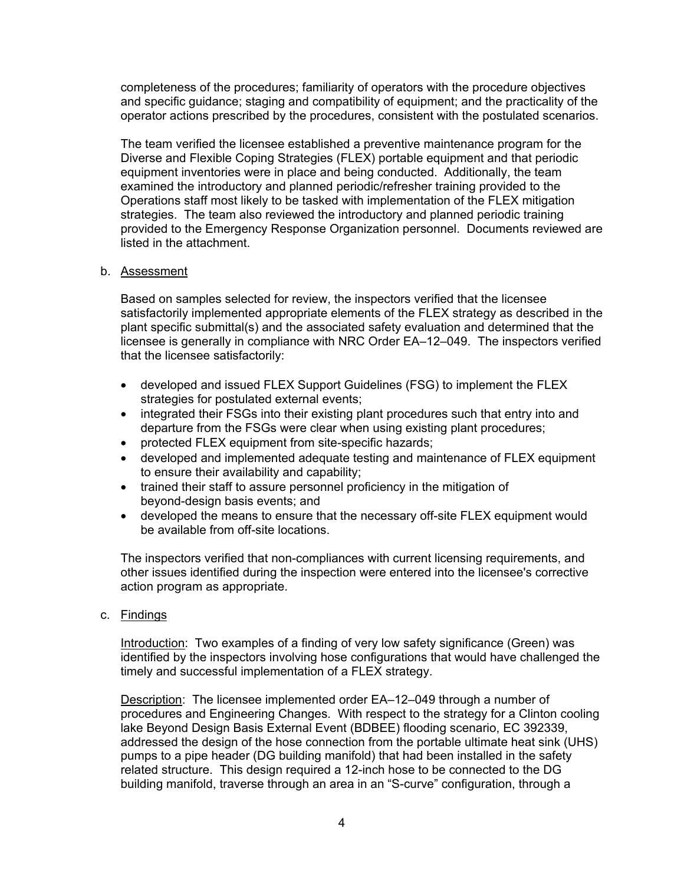completeness of the procedures; familiarity of operators with the procedure objectives and specific guidance; staging and compatibility of equipment; and the practicality of the operator actions prescribed by the procedures, consistent with the postulated scenarios.

The team verified the licensee established a preventive maintenance program for the Diverse and Flexible Coping Strategies (FLEX) portable equipment and that periodic equipment inventories were in place and being conducted. Additionally, the team examined the introductory and planned periodic/refresher training provided to the Operations staff most likely to be tasked with implementation of the FLEX mitigation strategies. The team also reviewed the introductory and planned periodic training provided to the Emergency Response Organization personnel. Documents reviewed are listed in the attachment.

#### b. Assessment

Based on samples selected for review, the inspectors verified that the licensee satisfactorily implemented appropriate elements of the FLEX strategy as described in the plant specific submittal(s) and the associated safety evaluation and determined that the licensee is generally in compliance with NRC Order EA–12–049. The inspectors verified that the licensee satisfactorily:

- developed and issued FLEX Support Guidelines (FSG) to implement the FLEX strategies for postulated external events;
- integrated their FSGs into their existing plant procedures such that entry into and departure from the FSGs were clear when using existing plant procedures;
- protected FLEX equipment from site-specific hazards;
- developed and implemented adequate testing and maintenance of FLEX equipment to ensure their availability and capability;
- trained their staff to assure personnel proficiency in the mitigation of beyond-design basis events; and
- developed the means to ensure that the necessary off-site FLEX equipment would be available from off-site locations.

The inspectors verified that non-compliances with current licensing requirements, and other issues identified during the inspection were entered into the licensee's corrective action program as appropriate.

c. Findings

Introduction: Two examples of a finding of very low safety significance (Green) was identified by the inspectors involving hose configurations that would have challenged the timely and successful implementation of a FLEX strategy.

Description: The licensee implemented order EA–12–049 through a number of procedures and Engineering Changes. With respect to the strategy for a Clinton cooling lake Beyond Design Basis External Event (BDBEE) flooding scenario, EC 392339, addressed the design of the hose connection from the portable ultimate heat sink (UHS) pumps to a pipe header (DG building manifold) that had been installed in the safety related structure. This design required a 12-inch hose to be connected to the DG building manifold, traverse through an area in an "S-curve" configuration, through a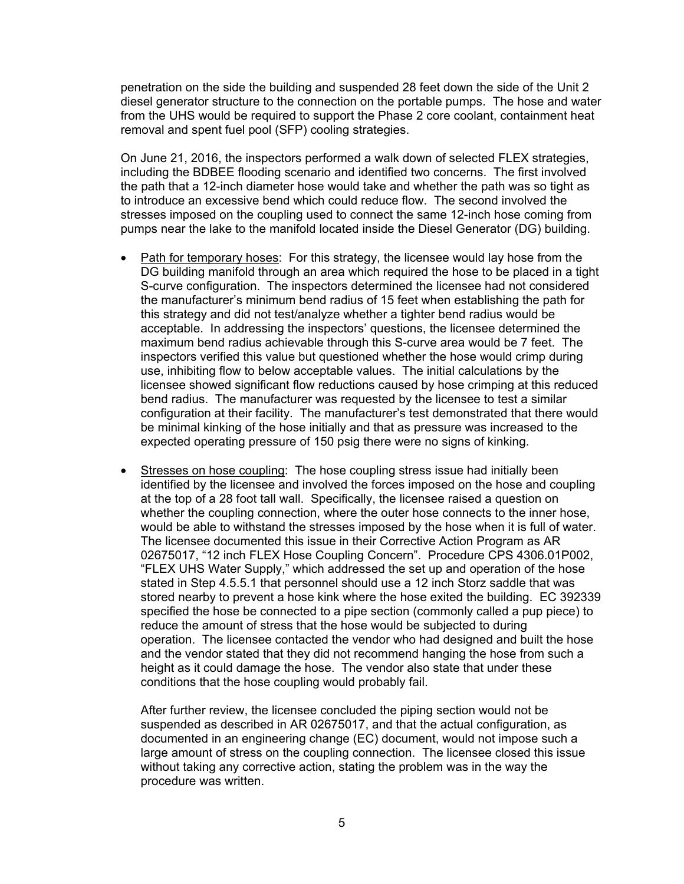penetration on the side the building and suspended 28 feet down the side of the Unit 2 diesel generator structure to the connection on the portable pumps. The hose and water from the UHS would be required to support the Phase 2 core coolant, containment heat removal and spent fuel pool (SFP) cooling strategies.

On June 21, 2016, the inspectors performed a walk down of selected FLEX strategies, including the BDBEE flooding scenario and identified two concerns. The first involved the path that a 12-inch diameter hose would take and whether the path was so tight as to introduce an excessive bend which could reduce flow. The second involved the stresses imposed on the coupling used to connect the same 12-inch hose coming from pumps near the lake to the manifold located inside the Diesel Generator (DG) building.

- Path for temporary hoses: For this strategy, the licensee would lay hose from the DG building manifold through an area which required the hose to be placed in a tight S-curve configuration. The inspectors determined the licensee had not considered the manufacturer's minimum bend radius of 15 feet when establishing the path for this strategy and did not test/analyze whether a tighter bend radius would be acceptable. In addressing the inspectors' questions, the licensee determined the maximum bend radius achievable through this S-curve area would be 7 feet. The inspectors verified this value but questioned whether the hose would crimp during use, inhibiting flow to below acceptable values. The initial calculations by the licensee showed significant flow reductions caused by hose crimping at this reduced bend radius. The manufacturer was requested by the licensee to test a similar configuration at their facility. The manufacturer's test demonstrated that there would be minimal kinking of the hose initially and that as pressure was increased to the expected operating pressure of 150 psig there were no signs of kinking.
- Stresses on hose coupling: The hose coupling stress issue had initially been identified by the licensee and involved the forces imposed on the hose and coupling at the top of a 28 foot tall wall. Specifically, the licensee raised a question on whether the coupling connection, where the outer hose connects to the inner hose, would be able to withstand the stresses imposed by the hose when it is full of water. The licensee documented this issue in their Corrective Action Program as AR 02675017, "12 inch FLEX Hose Coupling Concern". Procedure CPS 4306.01P002, "FLEX UHS Water Supply," which addressed the set up and operation of the hose stated in Step 4.5.5.1 that personnel should use a 12 inch Storz saddle that was stored nearby to prevent a hose kink where the hose exited the building. EC 392339 specified the hose be connected to a pipe section (commonly called a pup piece) to reduce the amount of stress that the hose would be subjected to during operation. The licensee contacted the vendor who had designed and built the hose and the vendor stated that they did not recommend hanging the hose from such a height as it could damage the hose. The vendor also state that under these conditions that the hose coupling would probably fail.

After further review, the licensee concluded the piping section would not be suspended as described in AR 02675017, and that the actual configuration, as documented in an engineering change (EC) document, would not impose such a large amount of stress on the coupling connection. The licensee closed this issue without taking any corrective action, stating the problem was in the way the procedure was written.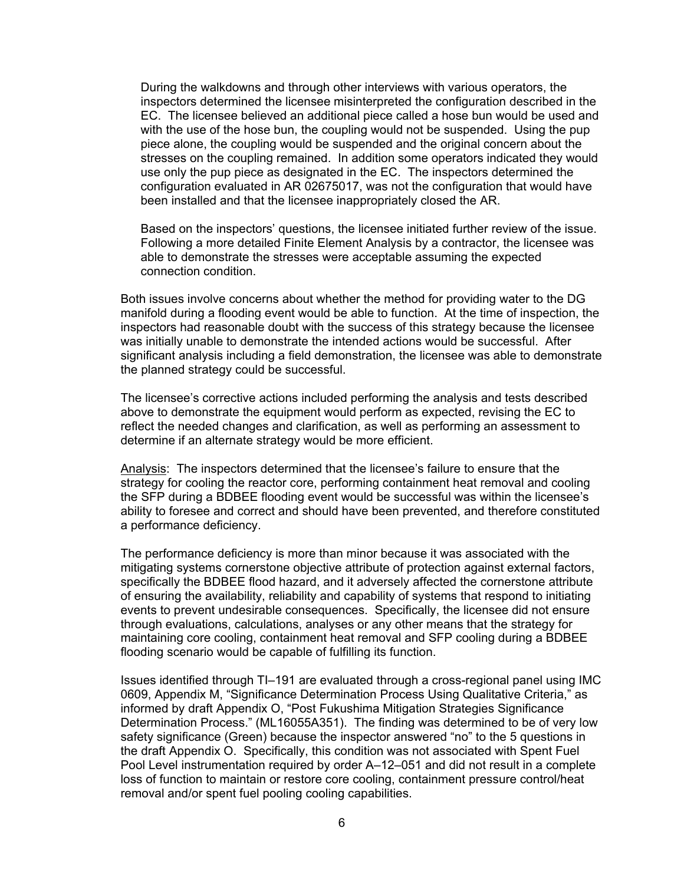During the walkdowns and through other interviews with various operators, the inspectors determined the licensee misinterpreted the configuration described in the EC. The licensee believed an additional piece called a hose bun would be used and with the use of the hose bun, the coupling would not be suspended. Using the pup piece alone, the coupling would be suspended and the original concern about the stresses on the coupling remained. In addition some operators indicated they would use only the pup piece as designated in the EC. The inspectors determined the configuration evaluated in AR 02675017, was not the configuration that would have been installed and that the licensee inappropriately closed the AR.

Based on the inspectors' questions, the licensee initiated further review of the issue. Following a more detailed Finite Element Analysis by a contractor, the licensee was able to demonstrate the stresses were acceptable assuming the expected connection condition.

Both issues involve concerns about whether the method for providing water to the DG manifold during a flooding event would be able to function. At the time of inspection, the inspectors had reasonable doubt with the success of this strategy because the licensee was initially unable to demonstrate the intended actions would be successful. After significant analysis including a field demonstration, the licensee was able to demonstrate the planned strategy could be successful.

The licensee's corrective actions included performing the analysis and tests described above to demonstrate the equipment would perform as expected, revising the EC to reflect the needed changes and clarification, as well as performing an assessment to determine if an alternate strategy would be more efficient.

Analysis: The inspectors determined that the licensee's failure to ensure that the strategy for cooling the reactor core, performing containment heat removal and cooling the SFP during a BDBEE flooding event would be successful was within the licensee's ability to foresee and correct and should have been prevented, and therefore constituted a performance deficiency.

The performance deficiency is more than minor because it was associated with the mitigating systems cornerstone objective attribute of protection against external factors, specifically the BDBEE flood hazard, and it adversely affected the cornerstone attribute of ensuring the availability, reliability and capability of systems that respond to initiating events to prevent undesirable consequences. Specifically, the licensee did not ensure through evaluations, calculations, analyses or any other means that the strategy for maintaining core cooling, containment heat removal and SFP cooling during a BDBEE flooding scenario would be capable of fulfilling its function.

Issues identified through TI–191 are evaluated through a cross-regional panel using IMC 0609, Appendix M, "Significance Determination Process Using Qualitative Criteria," as informed by draft Appendix O, "Post Fukushima Mitigation Strategies Significance Determination Process." (ML16055A351). The finding was determined to be of very low safety significance (Green) because the inspector answered "no" to the 5 questions in the draft Appendix O. Specifically, this condition was not associated with Spent Fuel Pool Level instrumentation required by order A–12–051 and did not result in a complete loss of function to maintain or restore core cooling, containment pressure control/heat removal and/or spent fuel pooling cooling capabilities.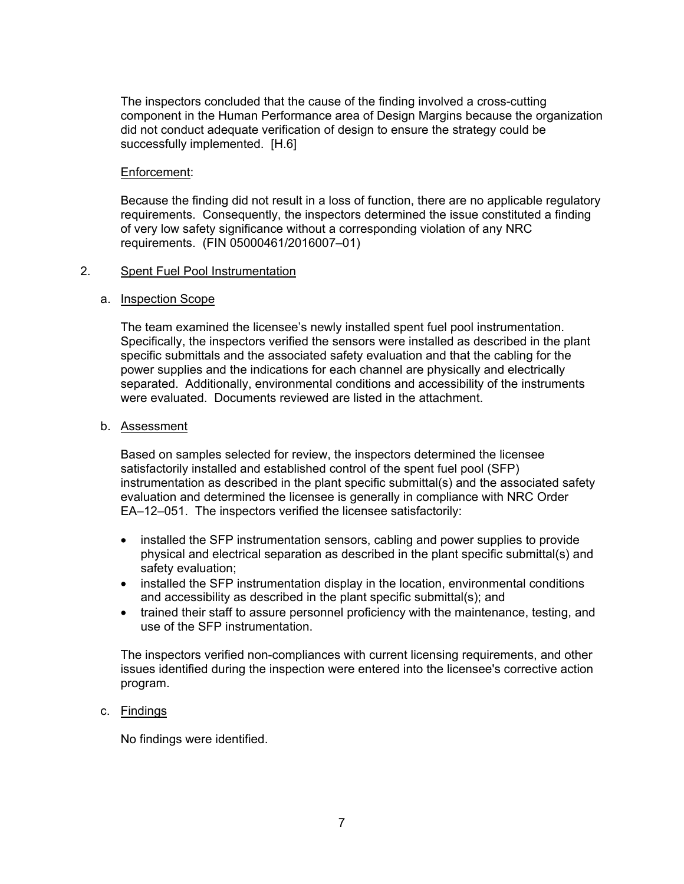The inspectors concluded that the cause of the finding involved a cross-cutting component in the Human Performance area of Design Margins because the organization did not conduct adequate verification of design to ensure the strategy could be successfully implemented. [H.6]

#### Enforcement:

Because the finding did not result in a loss of function, there are no applicable regulatory requirements. Consequently, the inspectors determined the issue constituted a finding of very low safety significance without a corresponding violation of any NRC requirements. (FIN 05000461/2016007–01)

### 2. Spent Fuel Pool Instrumentation

### a. Inspection Scope

The team examined the licensee's newly installed spent fuel pool instrumentation. Specifically, the inspectors verified the sensors were installed as described in the plant specific submittals and the associated safety evaluation and that the cabling for the power supplies and the indications for each channel are physically and electrically separated. Additionally, environmental conditions and accessibility of the instruments were evaluated. Documents reviewed are listed in the attachment.

### b. Assessment

Based on samples selected for review, the inspectors determined the licensee satisfactorily installed and established control of the spent fuel pool (SFP) instrumentation as described in the plant specific submittal(s) and the associated safety evaluation and determined the licensee is generally in compliance with NRC Order EA–12–051. The inspectors verified the licensee satisfactorily:

- installed the SFP instrumentation sensors, cabling and power supplies to provide physical and electrical separation as described in the plant specific submittal(s) and safety evaluation;
- installed the SFP instrumentation display in the location, environmental conditions and accessibility as described in the plant specific submittal(s); and
- trained their staff to assure personnel proficiency with the maintenance, testing, and use of the SFP instrumentation.

The inspectors verified non-compliances with current licensing requirements, and other issues identified during the inspection were entered into the licensee's corrective action program.

### c. Findings

No findings were identified.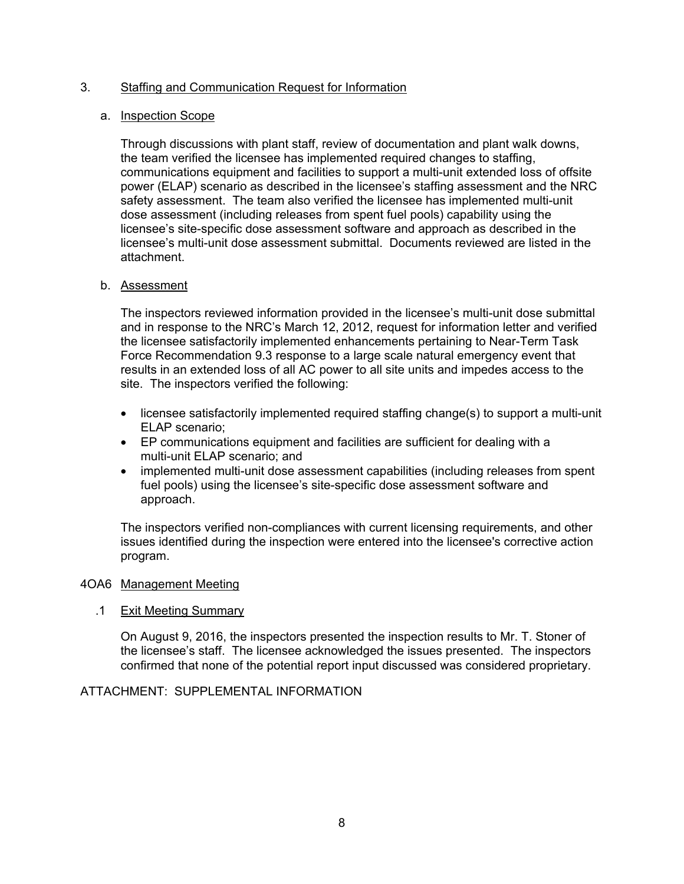### 3. Staffing and Communication Request for Information

#### a. Inspection Scope

Through discussions with plant staff, review of documentation and plant walk downs, the team verified the licensee has implemented required changes to staffing, communications equipment and facilities to support a multi-unit extended loss of offsite power (ELAP) scenario as described in the licensee's staffing assessment and the NRC safety assessment. The team also verified the licensee has implemented multi-unit dose assessment (including releases from spent fuel pools) capability using the licensee's site-specific dose assessment software and approach as described in the licensee's multi-unit dose assessment submittal. Documents reviewed are listed in the attachment.

### b. Assessment

The inspectors reviewed information provided in the licensee's multi-unit dose submittal and in response to the NRC's March 12, 2012, request for information letter and verified the licensee satisfactorily implemented enhancements pertaining to Near-Term Task Force Recommendation 9.3 response to a large scale natural emergency event that results in an extended loss of all AC power to all site units and impedes access to the site. The inspectors verified the following:

- licensee satisfactorily implemented required staffing change(s) to support a multi-unit ELAP scenario;
- EP communications equipment and facilities are sufficient for dealing with a multi-unit ELAP scenario; and
- implemented multi-unit dose assessment capabilities (including releases from spent fuel pools) using the licensee's site-specific dose assessment software and approach.

The inspectors verified non-compliances with current licensing requirements, and other issues identified during the inspection were entered into the licensee's corrective action program.

#### 4OA6 Management Meeting

### .1 Exit Meeting Summary

On August 9, 2016, the inspectors presented the inspection results to Mr. T. Stoner of the licensee's staff. The licensee acknowledged the issues presented. The inspectors confirmed that none of the potential report input discussed was considered proprietary.

### ATTACHMENT: SUPPLEMENTAL INFORMATION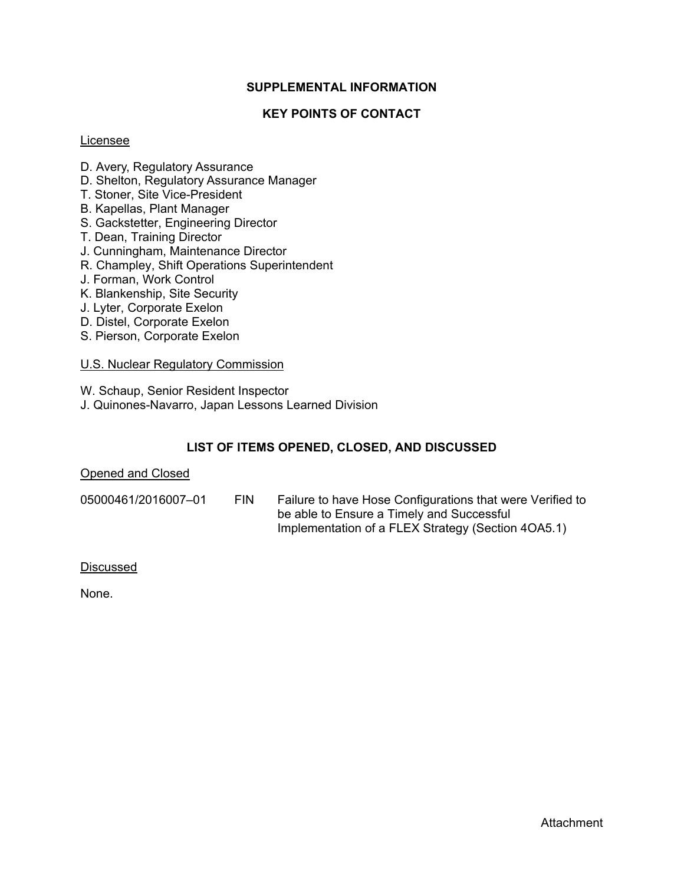### **SUPPLEMENTAL INFORMATION**

### **KEY POINTS OF CONTACT**

#### Licensee

- D. Avery, Regulatory Assurance
- D. Shelton, Regulatory Assurance Manager
- T. Stoner, Site Vice-President
- B. Kapellas, Plant Manager
- S. Gackstetter, Engineering Director
- T. Dean, Training Director
- J. Cunningham, Maintenance Director
- R. Champley, Shift Operations Superintendent
- J. Forman, Work Control
- K. Blankenship, Site Security
- J. Lyter, Corporate Exelon
- D. Distel, Corporate Exelon
- S. Pierson, Corporate Exelon

### U.S. Nuclear Regulatory Commission

W. Schaup, Senior Resident Inspector

J. Quinones-Navarro, Japan Lessons Learned Division

### **LIST OF ITEMS OPENED, CLOSED, AND DISCUSSED**

#### Opened and Closed

- 
- 05000461/2016007–01 FIN Failure to have Hose Configurations that were Verified to be able to Ensure a Timely and Successful Implementation of a FLEX Strategy (Section 4OA5.1)

#### Discussed

None.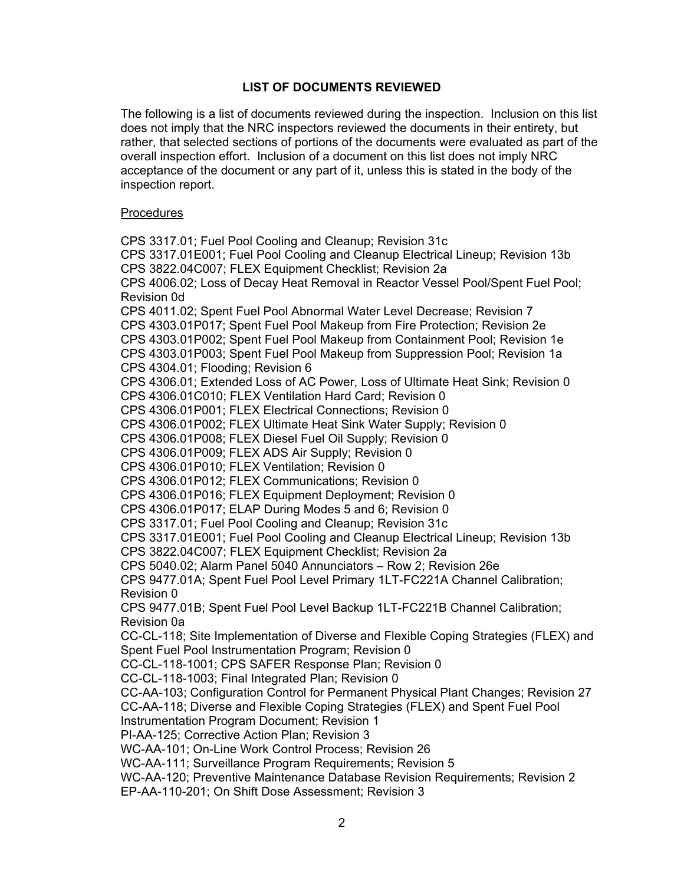## **LIST OF DOCUMENTS REVIEWED**

The following is a list of documents reviewed during the inspection. Inclusion on this list does not imply that the NRC inspectors reviewed the documents in their entirety, but rather, that selected sections of portions of the documents were evaluated as part of the overall inspection effort. Inclusion of a document on this list does not imply NRC acceptance of the document or any part of it, unless this is stated in the body of the inspection report.

### Procedures

CPS 3317.01; Fuel Pool Cooling and Cleanup; Revision 31c CPS 3317.01E001; Fuel Pool Cooling and Cleanup Electrical Lineup; Revision 13b CPS 3822.04C007; FLEX Equipment Checklist; Revision 2a CPS 4006.02; Loss of Decay Heat Removal in Reactor Vessel Pool/Spent Fuel Pool; Revision 0d CPS 4011.02; Spent Fuel Pool Abnormal Water Level Decrease; Revision 7 CPS 4303.01P017; Spent Fuel Pool Makeup from Fire Protection; Revision 2e CPS 4303.01P002; Spent Fuel Pool Makeup from Containment Pool; Revision 1e CPS 4303.01P003; Spent Fuel Pool Makeup from Suppression Pool; Revision 1a CPS 4304.01; Flooding; Revision 6 CPS 4306.01; Extended Loss of AC Power, Loss of Ultimate Heat Sink; Revision 0 CPS 4306.01C010; FLEX Ventilation Hard Card; Revision 0 CPS 4306.01P001; FLEX Electrical Connections; Revision 0 CPS 4306.01P002; FLEX Ultimate Heat Sink Water Supply; Revision 0 CPS 4306.01P008; FLEX Diesel Fuel Oil Supply; Revision 0 CPS 4306.01P009; FLEX ADS Air Supply; Revision 0 CPS 4306.01P010; FLEX Ventilation; Revision 0 CPS 4306.01P012; FLEX Communications; Revision 0 CPS 4306.01P016; FLEX Equipment Deployment; Revision 0 CPS 4306.01P017; ELAP During Modes 5 and 6; Revision 0 CPS 3317.01; Fuel Pool Cooling and Cleanup; Revision 31c CPS 3317.01E001; Fuel Pool Cooling and Cleanup Electrical Lineup; Revision 13b CPS 3822.04C007; FLEX Equipment Checklist; Revision 2a CPS 5040.02; Alarm Panel 5040 Annunciators – Row 2; Revision 26e CPS 9477.01A; Spent Fuel Pool Level Primary 1LT-FC221A Channel Calibration; Revision 0 CPS 9477.01B; Spent Fuel Pool Level Backup 1LT-FC221B Channel Calibration; Revision 0a CC-CL-118; Site Implementation of Diverse and Flexible Coping Strategies (FLEX) and Spent Fuel Pool Instrumentation Program; Revision 0 CC-CL-118-1001; CPS SAFER Response Plan; Revision 0 CC-CL-118-1003; Final Integrated Plan; Revision 0 CC-AA-103; Configuration Control for Permanent Physical Plant Changes; Revision 27 CC-AA-118; Diverse and Flexible Coping Strategies (FLEX) and Spent Fuel Pool Instrumentation Program Document; Revision 1 PI-AA-125; Corrective Action Plan; Revision 3 WC-AA-101; On-Line Work Control Process; Revision 26 WC-AA-111; Surveillance Program Requirements; Revision 5 WC-AA-120; Preventive Maintenance Database Revision Requirements; Revision 2 EP-AA-110-201; On Shift Dose Assessment; Revision 3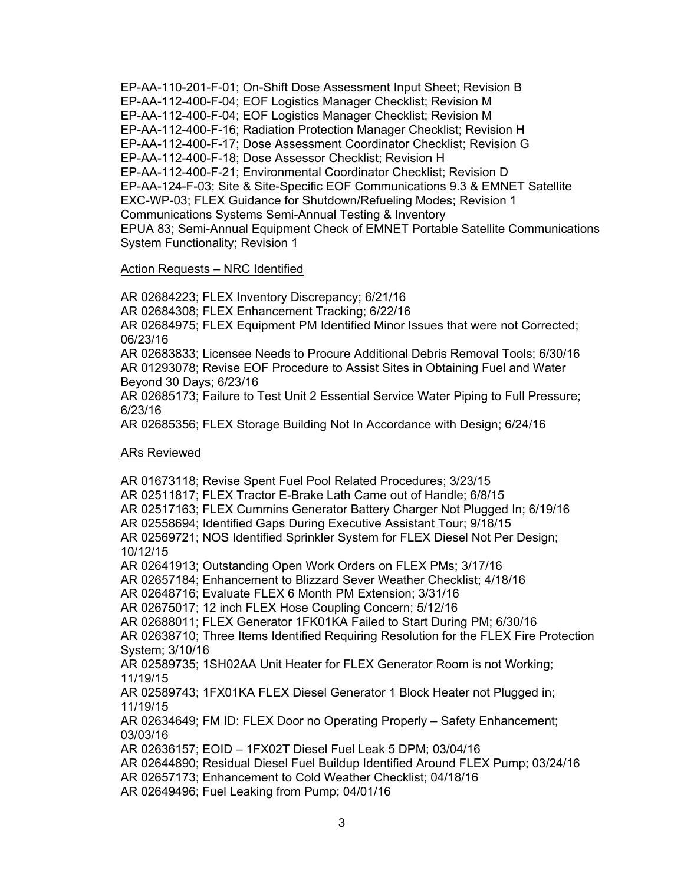EP-AA-110-201-F-01; On-Shift Dose Assessment Input Sheet; Revision B EP-AA-112-400-F-04; EOF Logistics Manager Checklist; Revision M EP-AA-112-400-F-04; EOF Logistics Manager Checklist; Revision M EP-AA-112-400-F-16; Radiation Protection Manager Checklist; Revision H EP-AA-112-400-F-17; Dose Assessment Coordinator Checklist; Revision G EP-AA-112-400-F-18; Dose Assessor Checklist; Revision H EP-AA-112-400-F-21; Environmental Coordinator Checklist; Revision D EP-AA-124-F-03; Site & Site-Specific EOF Communications 9.3 & EMNET Satellite EXC-WP-03; FLEX Guidance for Shutdown/Refueling Modes; Revision 1 Communications Systems Semi-Annual Testing & Inventory EPUA 83; Semi-Annual Equipment Check of EMNET Portable Satellite Communications System Functionality; Revision 1

### Action Requests – NRC Identified

AR 02684223; FLEX Inventory Discrepancy; 6/21/16 AR 02684308; FLEX Enhancement Tracking; 6/22/16 AR 02684975; FLEX Equipment PM Identified Minor Issues that were not Corrected; 06/23/16 AR 02683833; Licensee Needs to Procure Additional Debris Removal Tools; 6/30/16 AR 01293078; Revise EOF Procedure to Assist Sites in Obtaining Fuel and Water Beyond 30 Days; 6/23/16

AR 02685173; Failure to Test Unit 2 Essential Service Water Piping to Full Pressure; 6/23/16

AR 02685356; FLEX Storage Building Not In Accordance with Design; 6/24/16

#### ARs Reviewed

AR 01673118; Revise Spent Fuel Pool Related Procedures; 3/23/15 AR 02511817; FLEX Tractor E-Brake Lath Came out of Handle; 6/8/15 AR 02517163; FLEX Cummins Generator Battery Charger Not Plugged In; 6/19/16 AR 02558694; Identified Gaps During Executive Assistant Tour; 9/18/15 AR 02569721; NOS Identified Sprinkler System for FLEX Diesel Not Per Design; 10/12/15 AR 02641913; Outstanding Open Work Orders on FLEX PMs; 3/17/16 AR 02657184; Enhancement to Blizzard Sever Weather Checklist; 4/18/16 AR 02648716; Evaluate FLEX 6 Month PM Extension; 3/31/16 AR 02675017; 12 inch FLEX Hose Coupling Concern; 5/12/16 AR 02688011; FLEX Generator 1FK01KA Failed to Start During PM; 6/30/16 AR 02638710; Three Items Identified Requiring Resolution for the FLEX Fire Protection System; 3/10/16 AR 02589735; 1SH02AA Unit Heater for FLEX Generator Room is not Working; 11/19/15 AR 02589743; 1FX01KA FLEX Diesel Generator 1 Block Heater not Plugged in; 11/19/15 AR 02634649; FM ID: FLEX Door no Operating Properly – Safety Enhancement; 03/03/16 AR 02636157; EOID – 1FX02T Diesel Fuel Leak 5 DPM; 03/04/16 AR 02644890; Residual Diesel Fuel Buildup Identified Around FLEX Pump; 03/24/16 AR 02657173; Enhancement to Cold Weather Checklist; 04/18/16

AR 02649496; Fuel Leaking from Pump; 04/01/16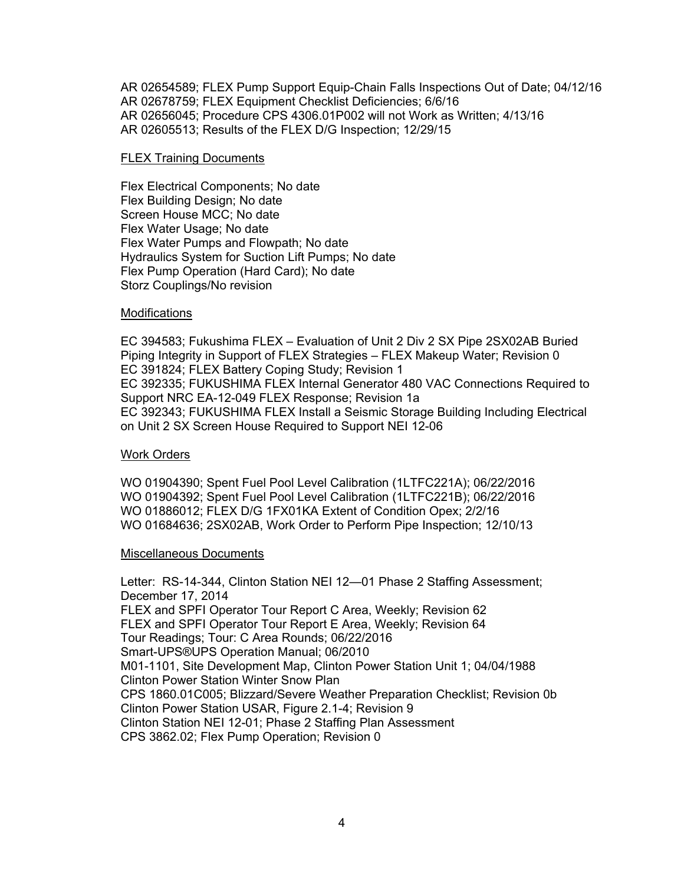AR 02654589; FLEX Pump Support Equip-Chain Falls Inspections Out of Date; 04/12/16 AR 02678759; FLEX Equipment Checklist Deficiencies; 6/6/16 AR 02656045; Procedure CPS 4306.01P002 will not Work as Written; 4/13/16 AR 02605513; Results of the FLEX D/G Inspection; 12/29/15

#### FLEX Training Documents

Flex Electrical Components; No date Flex Building Design; No date Screen House MCC; No date Flex Water Usage; No date Flex Water Pumps and Flowpath; No date Hydraulics System for Suction Lift Pumps; No date Flex Pump Operation (Hard Card); No date Storz Couplings/No revision

#### **Modifications**

EC 394583; Fukushima FLEX – Evaluation of Unit 2 Div 2 SX Pipe 2SX02AB Buried Piping Integrity in Support of FLEX Strategies – FLEX Makeup Water; Revision 0 EC 391824; FLEX Battery Coping Study; Revision 1 EC 392335; FUKUSHIMA FLEX Internal Generator 480 VAC Connections Required to Support NRC EA-12-049 FLEX Response; Revision 1a EC 392343; FUKUSHIMA FLEX Install a Seismic Storage Building Including Electrical on Unit 2 SX Screen House Required to Support NEI 12-06

#### Work Orders

WO 01904390; Spent Fuel Pool Level Calibration (1LTFC221A); 06/22/2016 WO 01904392; Spent Fuel Pool Level Calibration (1LTFC221B); 06/22/2016 WO 01886012; FLEX D/G 1FX01KA Extent of Condition Opex; 2/2/16 WO 01684636; 2SX02AB, Work Order to Perform Pipe Inspection; 12/10/13

#### Miscellaneous Documents

Letter: RS-14-344, Clinton Station NEI 12—01 Phase 2 Staffing Assessment; December 17, 2014 FLEX and SPFI Operator Tour Report C Area, Weekly; Revision 62 FLEX and SPFI Operator Tour Report E Area, Weekly; Revision 64 Tour Readings; Tour: C Area Rounds; 06/22/2016 Smart-UPS®UPS Operation Manual; 06/2010 M01-1101, Site Development Map, Clinton Power Station Unit 1; 04/04/1988 Clinton Power Station Winter Snow Plan CPS 1860.01C005; Blizzard/Severe Weather Preparation Checklist; Revision 0b Clinton Power Station USAR, Figure 2.1-4; Revision 9 Clinton Station NEI 12-01; Phase 2 Staffing Plan Assessment CPS 3862.02; Flex Pump Operation; Revision 0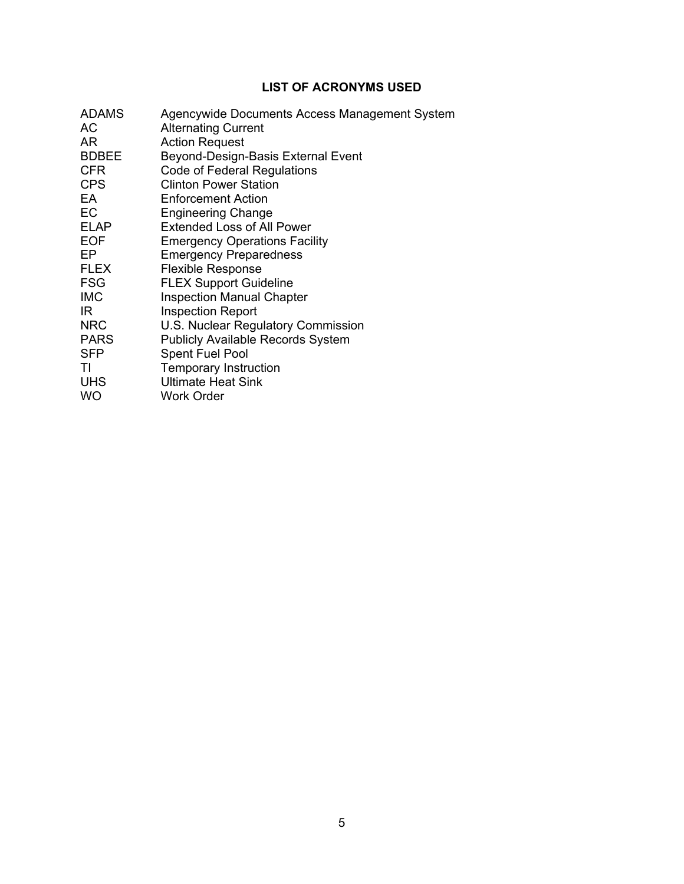## **LIST OF ACRONYMS USED**

| <b>ADAMS</b> | Agencywide Documents Access Management System |
|--------------|-----------------------------------------------|
| АC           | <b>Alternating Current</b>                    |
| AR           | <b>Action Request</b>                         |
| <b>BDBEE</b> | Beyond-Design-Basis External Event            |
| <b>CFR</b>   | Code of Federal Regulations                   |
| <b>CPS</b>   | <b>Clinton Power Station</b>                  |
| EA           | <b>Enforcement Action</b>                     |
| <b>EC</b>    | <b>Engineering Change</b>                     |
| <b>ELAP</b>  | <b>Extended Loss of All Power</b>             |
| <b>EOF</b>   | <b>Emergency Operations Facility</b>          |
| EP           | <b>Emergency Preparedness</b>                 |
| <b>FLEX</b>  | <b>Flexible Response</b>                      |
| <b>FSG</b>   | <b>FLEX Support Guideline</b>                 |
| <b>IMC</b>   | <b>Inspection Manual Chapter</b>              |
| IR.          | <b>Inspection Report</b>                      |
| <b>NRC</b>   | U.S. Nuclear Regulatory Commission            |
| <b>PARS</b>  | <b>Publicly Available Records System</b>      |
| <b>SFP</b>   | <b>Spent Fuel Pool</b>                        |
| ΤI           | <b>Temporary Instruction</b>                  |
| <b>UHS</b>   | <b>Ultimate Heat Sink</b>                     |
| <b>WO</b>    | <b>Work Order</b>                             |